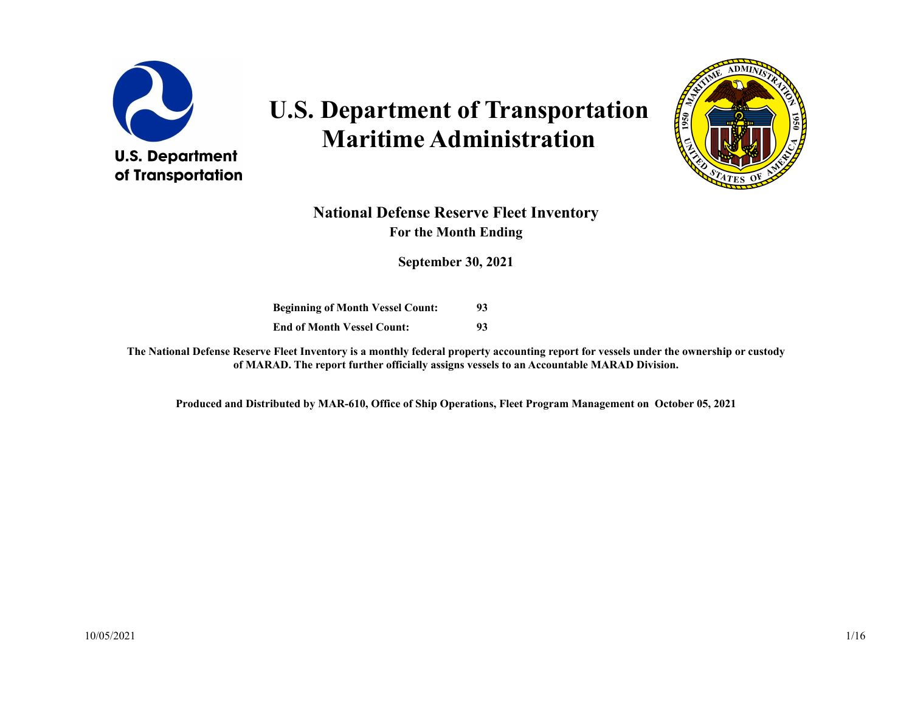

# **U.S. Department of Transportation Maritime Administration**



### **National Defense Reserve Fleet Inventory For the Month Ending**

**September 30, 2021**

**Beginning of Month Vessel Count: 93 End of Month Vessel Count: 93**

**The National Defense Reserve Fleet Inventory is a monthly federal property accounting report for vessels under the ownership or custody of MARAD. The report further officially assigns vessels to an Accountable MARAD Division.**

**Produced and Distributed by MAR-610, Office of Ship Operations, Fleet Program Management on October 05, 2021**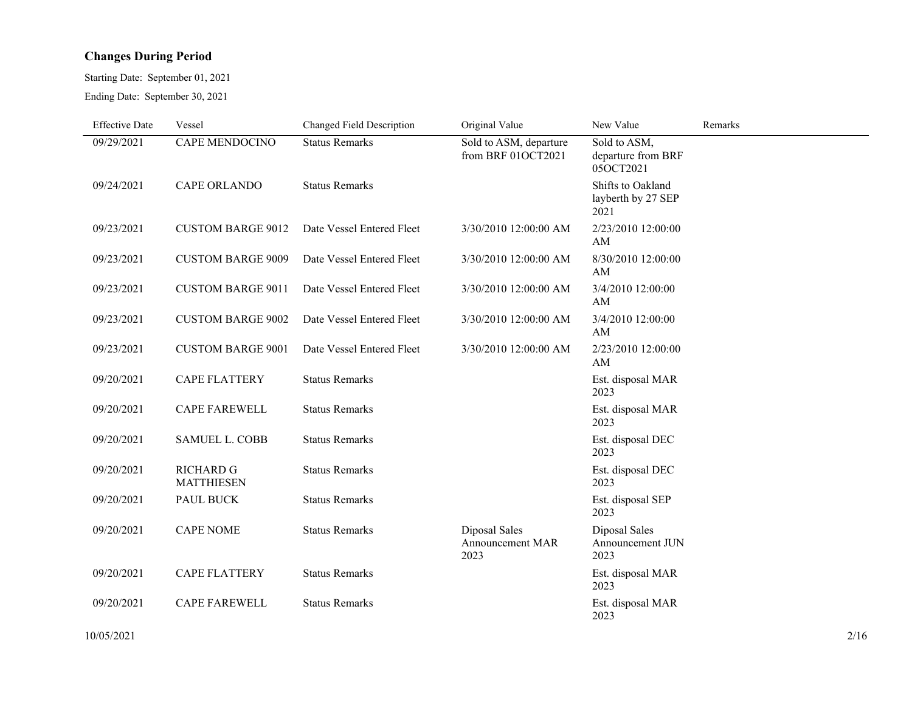#### **Changes During Period**

Starting Date: September 01, 2021

Ending Date: September 30, 2021

| <b>Effective Date</b> | Vessel                                | Changed Field Description | Original Value                               | New Value                                       | Remarks |
|-----------------------|---------------------------------------|---------------------------|----------------------------------------------|-------------------------------------------------|---------|
| 09/29/2021            | CAPE MENDOCINO                        | <b>Status Remarks</b>     | Sold to ASM, departure<br>from BRF 01OCT2021 | Sold to ASM,<br>departure from BRF<br>05OCT2021 |         |
| 09/24/2021            | <b>CAPE ORLANDO</b>                   | <b>Status Remarks</b>     |                                              | Shifts to Oakland<br>layberth by 27 SEP<br>2021 |         |
| 09/23/2021            | <b>CUSTOM BARGE 9012</b>              | Date Vessel Entered Fleet | 3/30/2010 12:00:00 AM                        | 2/23/2010 12:00:00<br>AM                        |         |
| 09/23/2021            | <b>CUSTOM BARGE 9009</b>              | Date Vessel Entered Fleet | 3/30/2010 12:00:00 AM                        | 8/30/2010 12:00:00<br>AM                        |         |
| 09/23/2021            | <b>CUSTOM BARGE 9011</b>              | Date Vessel Entered Fleet | 3/30/2010 12:00:00 AM                        | 3/4/2010 12:00:00<br>AM                         |         |
| 09/23/2021            | <b>CUSTOM BARGE 9002</b>              | Date Vessel Entered Fleet | 3/30/2010 12:00:00 AM                        | 3/4/2010 12:00:00<br>AM                         |         |
| 09/23/2021            | <b>CUSTOM BARGE 9001</b>              | Date Vessel Entered Fleet | 3/30/2010 12:00:00 AM                        | 2/23/2010 12:00:00<br>AM                        |         |
| 09/20/2021            | <b>CAPE FLATTERY</b>                  | <b>Status Remarks</b>     |                                              | Est. disposal MAR<br>2023                       |         |
| 09/20/2021            | <b>CAPE FAREWELL</b>                  | <b>Status Remarks</b>     |                                              | Est. disposal MAR<br>2023                       |         |
| 09/20/2021            | <b>SAMUEL L. COBB</b>                 | <b>Status Remarks</b>     |                                              | Est. disposal DEC<br>2023                       |         |
| 09/20/2021            | <b>RICHARD G</b><br><b>MATTHIESEN</b> | <b>Status Remarks</b>     |                                              | Est. disposal DEC<br>2023                       |         |
| 09/20/2021            | PAUL BUCK                             | <b>Status Remarks</b>     |                                              | Est. disposal SEP<br>2023                       |         |
| 09/20/2021            | <b>CAPE NOME</b>                      | <b>Status Remarks</b>     | Diposal Sales<br>Announcement MAR<br>2023    | Diposal Sales<br>Announcement JUN<br>2023       |         |
| 09/20/2021            | <b>CAPE FLATTERY</b>                  | <b>Status Remarks</b>     |                                              | Est. disposal MAR<br>2023                       |         |
| 09/20/2021            | <b>CAPE FAREWELL</b>                  | <b>Status Remarks</b>     |                                              | Est. disposal MAR<br>2023                       |         |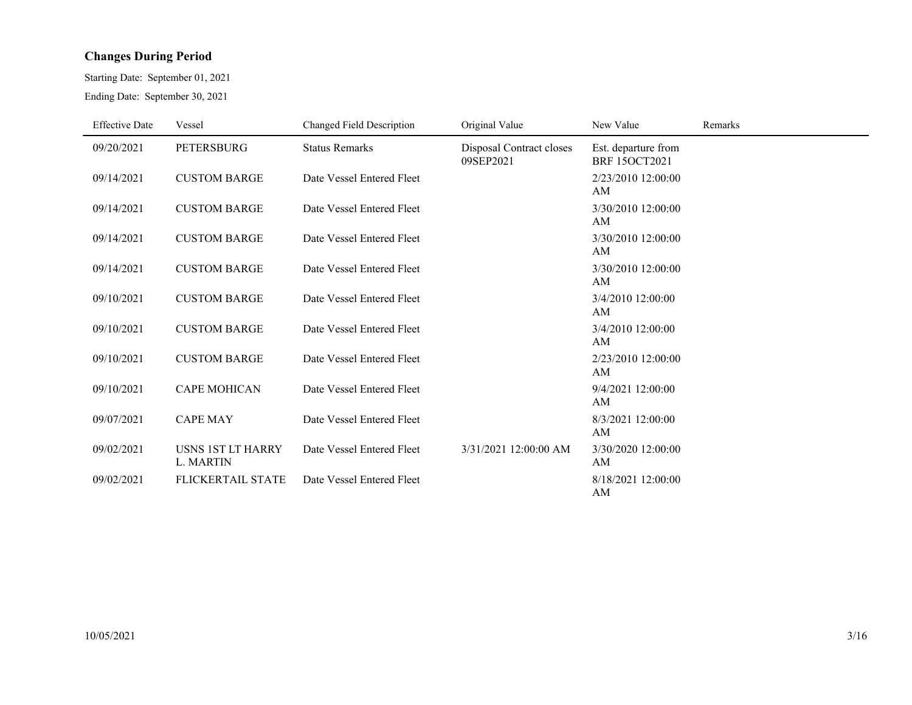#### **Changes During Period**

Starting Date: September 01, 2021 Ending Date: September 30, 2021

| <b>Effective Date</b> | Vessel                                       | Changed Field Description | Original Value                        | New Value                                   | Remarks |
|-----------------------|----------------------------------------------|---------------------------|---------------------------------------|---------------------------------------------|---------|
| 09/20/2021            | <b>PETERSBURG</b>                            | <b>Status Remarks</b>     | Disposal Contract closes<br>09SEP2021 | Est. departure from<br><b>BRF 15OCT2021</b> |         |
| 09/14/2021            | <b>CUSTOM BARGE</b>                          | Date Vessel Entered Fleet |                                       | 2/23/2010 12:00:00<br>AM                    |         |
| 09/14/2021            | <b>CUSTOM BARGE</b>                          | Date Vessel Entered Fleet |                                       | 3/30/2010 12:00:00<br>AM                    |         |
| 09/14/2021            | <b>CUSTOM BARGE</b>                          | Date Vessel Entered Fleet |                                       | 3/30/2010 12:00:00<br>AM                    |         |
| 09/14/2021            | <b>CUSTOM BARGE</b>                          | Date Vessel Entered Fleet |                                       | 3/30/2010 12:00:00<br>AM                    |         |
| 09/10/2021            | <b>CUSTOM BARGE</b>                          | Date Vessel Entered Fleet |                                       | 3/4/2010 12:00:00<br>AM                     |         |
| 09/10/2021            | <b>CUSTOM BARGE</b>                          | Date Vessel Entered Fleet |                                       | 3/4/2010 12:00:00<br>AM                     |         |
| 09/10/2021            | <b>CUSTOM BARGE</b>                          | Date Vessel Entered Fleet |                                       | 2/23/2010 12:00:00<br>AM                    |         |
| 09/10/2021            | <b>CAPE MOHICAN</b>                          | Date Vessel Entered Fleet |                                       | 9/4/2021 12:00:00<br>AM                     |         |
| 09/07/2021            | <b>CAPE MAY</b>                              | Date Vessel Entered Fleet |                                       | 8/3/2021 12:00:00<br>AM                     |         |
| 09/02/2021            | <b>USNS 1ST LT HARRY</b><br><b>L. MARTIN</b> | Date Vessel Entered Fleet | 3/31/2021 12:00:00 AM                 | 3/30/2020 12:00:00<br>AM                    |         |
| 09/02/2021            | <b>FLICKERTAIL STATE</b>                     | Date Vessel Entered Fleet |                                       | 8/18/2021 12:00:00<br>AM                    |         |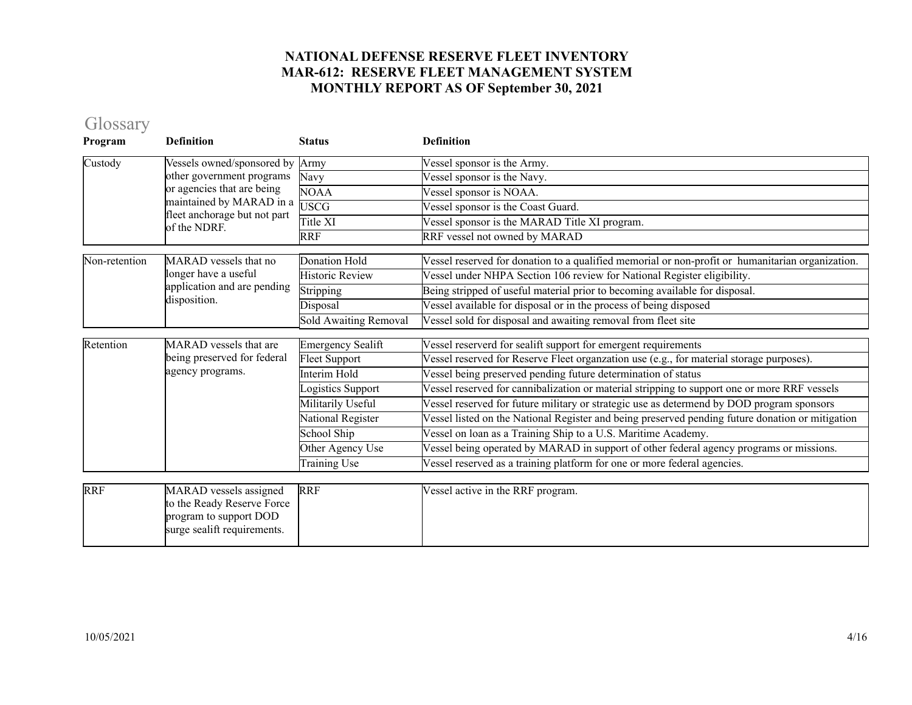### Glossary

| Program       | <b>Definition</b>                                                                                                                                                                                                                                                                                                                                        | <b>Status</b>            | <b>Definition</b>                                                                                |
|---------------|----------------------------------------------------------------------------------------------------------------------------------------------------------------------------------------------------------------------------------------------------------------------------------------------------------------------------------------------------------|--------------------------|--------------------------------------------------------------------------------------------------|
| Custody       | Vessels owned/sponsored by                                                                                                                                                                                                                                                                                                                               | Army                     | Vessel sponsor is the Army.                                                                      |
|               | other government programs                                                                                                                                                                                                                                                                                                                                | Navy                     | Vessel sponsor is the Navy.                                                                      |
|               |                                                                                                                                                                                                                                                                                                                                                          | NOAA                     | Vessel sponsor is NOAA.                                                                          |
|               |                                                                                                                                                                                                                                                                                                                                                          |                          | Vessel sponsor is the Coast Guard.                                                               |
|               |                                                                                                                                                                                                                                                                                                                                                          | Title XI                 | Vessel sponsor is the MARAD Title XI program.                                                    |
|               |                                                                                                                                                                                                                                                                                                                                                          | <b>RRF</b>               | RRF vessel not owned by MARAD                                                                    |
| Non-retention | MARAD vessels that no                                                                                                                                                                                                                                                                                                                                    | Donation Hold            | Vessel reserved for donation to a qualified memorial or non-profit or humanitarian organization. |
|               | longer have a useful                                                                                                                                                                                                                                                                                                                                     | <b>Historic Review</b>   | Vessel under NHPA Section 106 review for National Register eligibility.                          |
|               |                                                                                                                                                                                                                                                                                                                                                          | Stripping                | Being stripped of useful material prior to becoming available for disposal.                      |
|               |                                                                                                                                                                                                                                                                                                                                                          | Disposal                 | Vessel available for disposal or in the process of being disposed                                |
|               | or agencies that are being<br>maintained by MARAD in a<br><b>USCG</b><br>fleet anchorage but not part<br>of the NDRF.<br>application and are pending<br>disposition.<br>MARAD vessels that are<br>being preserved for federal<br>agency programs.<br><b>RRF</b><br>MARAD vessels assigned<br>RRF<br>to the Ready Reserve Force<br>program to support DOD | Sold Awaiting Removal    | Vessel sold for disposal and awaiting removal from fleet site                                    |
| Retention     |                                                                                                                                                                                                                                                                                                                                                          | <b>Emergency Sealift</b> | Vessel reserverd for sealift support for emergent requirements                                   |
|               |                                                                                                                                                                                                                                                                                                                                                          | Fleet Support            | Vessel reserved for Reserve Fleet organzation use (e.g., for material storage purposes).         |
|               |                                                                                                                                                                                                                                                                                                                                                          | Interim Hold             | Vessel being preserved pending future determination of status                                    |
|               |                                                                                                                                                                                                                                                                                                                                                          | ogistics Support         | Vessel reserved for cannibalization or material stripping to support one or more RRF vessels     |
|               |                                                                                                                                                                                                                                                                                                                                                          | Militarily Useful        | Vessel reserved for future military or strategic use as determend by DOD program sponsors        |
|               |                                                                                                                                                                                                                                                                                                                                                          | National Register        | Vessel listed on the National Register and being preserved pending future donation or mitigation |
|               |                                                                                                                                                                                                                                                                                                                                                          | School Ship              | Vessel on loan as a Training Ship to a U.S. Maritime Academy.                                    |
|               |                                                                                                                                                                                                                                                                                                                                                          | Other Agency Use         | Vessel being operated by MARAD in support of other federal agency programs or missions.          |
|               |                                                                                                                                                                                                                                                                                                                                                          | Training Use             | Vessel reserved as a training platform for one or more federal agencies.                         |
|               |                                                                                                                                                                                                                                                                                                                                                          |                          |                                                                                                  |
|               | surge sealift requirements.                                                                                                                                                                                                                                                                                                                              |                          | Vessel active in the RRF program.                                                                |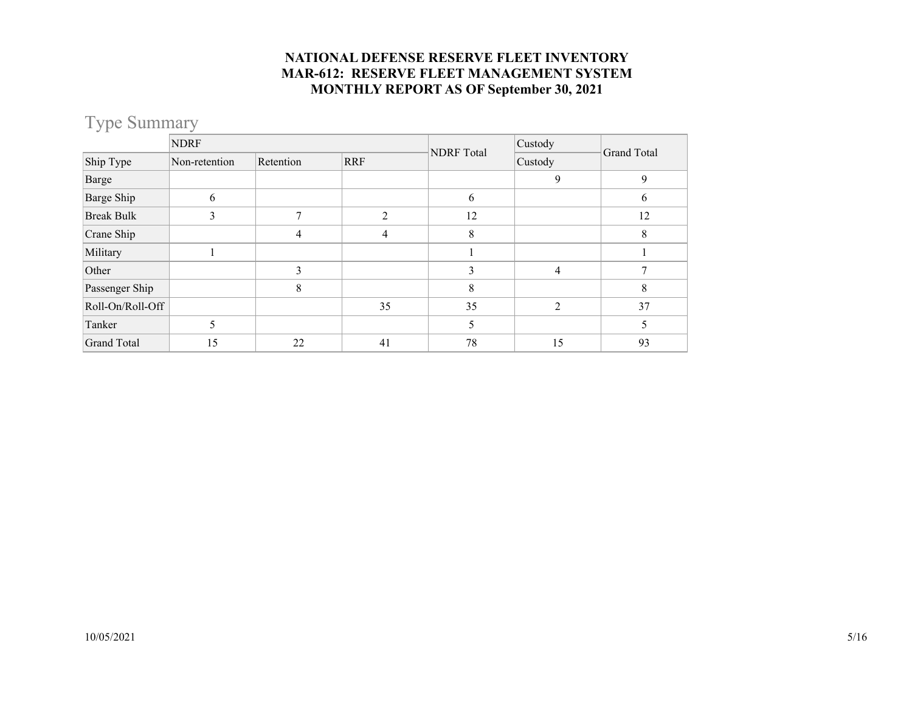### Type Summary

|                    | <b>NDRF</b>   |           |            |                   | Custody        | Grand Total |  |
|--------------------|---------------|-----------|------------|-------------------|----------------|-------------|--|
| Ship Type          | Non-retention | Retention | <b>RRF</b> | <b>NDRF</b> Total | Custody        |             |  |
| Barge              |               |           |            |                   | 9              | 9           |  |
| Barge Ship         | 6             |           |            | 6                 |                | 6           |  |
| <b>Break Bulk</b>  | 3             | 7         | C          | 12                |                | 12          |  |
| Crane Ship         |               | 4         | 4          | 8                 |                | 8           |  |
| Military           |               |           |            |                   |                |             |  |
| Other              |               | 3         |            | 3                 | $\overline{4}$ |             |  |
| Passenger Ship     |               | 8         |            | 8                 |                | 8           |  |
| Roll-On/Roll-Off   |               |           | 35         | 35                | $\overline{2}$ | 37          |  |
| Tanker             | 5             |           |            | 5                 |                | 5           |  |
| <b>Grand Total</b> | 15            | 22        | 41         | 78                | 15             | 93          |  |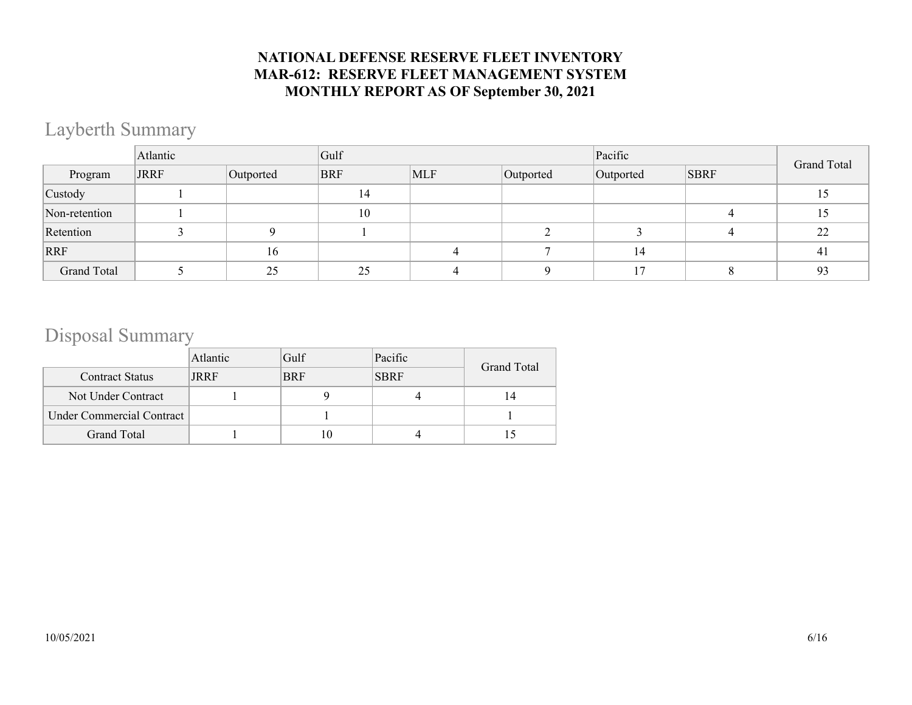## Layberth Summary

|                    | Atlantic    |           | Gulf       |     |           | Pacific   | <b>Grand Total</b> |    |
|--------------------|-------------|-----------|------------|-----|-----------|-----------|--------------------|----|
| Program            | <b>JRRF</b> | Outported | <b>BRF</b> | MLF | Outported | Outported | <b>SBRF</b>        |    |
| Custody            |             |           | 14         |     |           |           |                    | 15 |
| Non-retention      |             |           | 10         |     |           |           |                    | 15 |
| Retention          |             |           |            |     |           |           |                    | 22 |
| RRF                |             | 16        |            |     |           | 14        |                    | 41 |
| <b>Grand Total</b> |             | 25        | 25         |     |           |           |                    | 93 |

### Disposal Summary

|                           | Atlantic | Gulf       | Pacific     | Grand Total |  |
|---------------------------|----------|------------|-------------|-------------|--|
| <b>Contract Status</b>    | JRRF     | <b>BRF</b> | <b>SBRF</b> |             |  |
| Not Under Contract        |          |            |             | 14          |  |
| Under Commercial Contract |          |            |             |             |  |
| Grand Total               |          |            |             |             |  |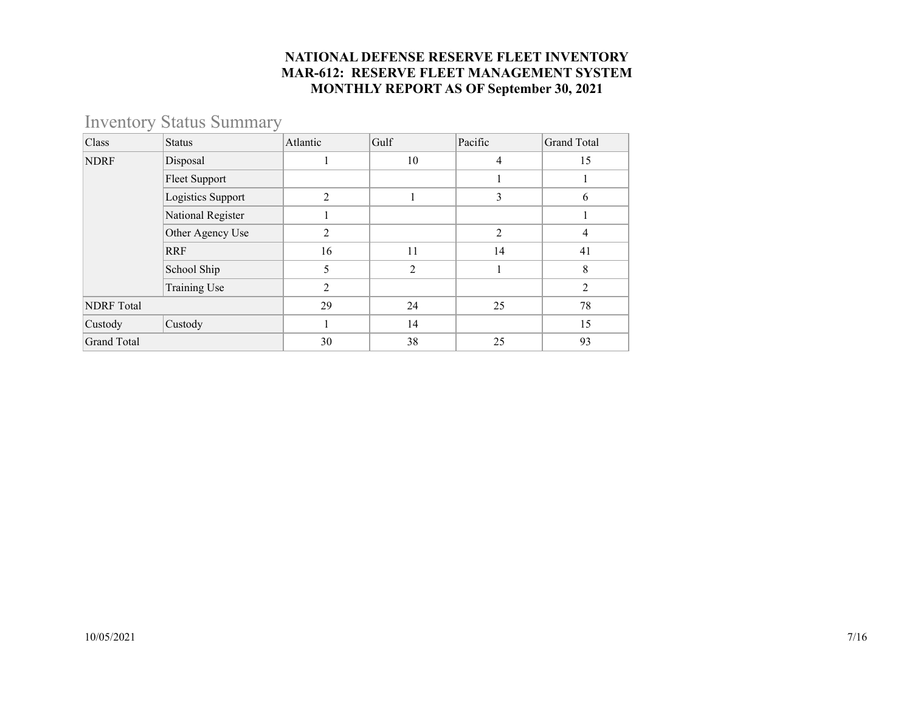### Inventory Status Summary

| Class              | <b>Status</b>        | Atlantic       | Gulf           | Pacific | <b>Grand Total</b> |
|--------------------|----------------------|----------------|----------------|---------|--------------------|
| <b>NDRF</b>        | Disposal             | T              | 10             | 4       | 15                 |
|                    | <b>Fleet Support</b> |                |                |         |                    |
|                    | Logistics Support    | 2              |                | 3       | 6                  |
|                    | National Register    |                |                |         |                    |
|                    | Other Agency Use     | 2              |                | 2       | 4                  |
|                    | <b>RRF</b>           | 16             | 11             | 14      | 41                 |
|                    | School Ship          | 5              | $\overline{2}$ |         | 8                  |
|                    | Training Use         | $\overline{2}$ |                |         | $\overline{2}$     |
| <b>NDRF</b> Total  |                      | 29             | 24             | 25      | 78                 |
| Custody            | Custody              |                | 14             |         | 15                 |
| <b>Grand Total</b> |                      | 30             | 38             | 25      | 93                 |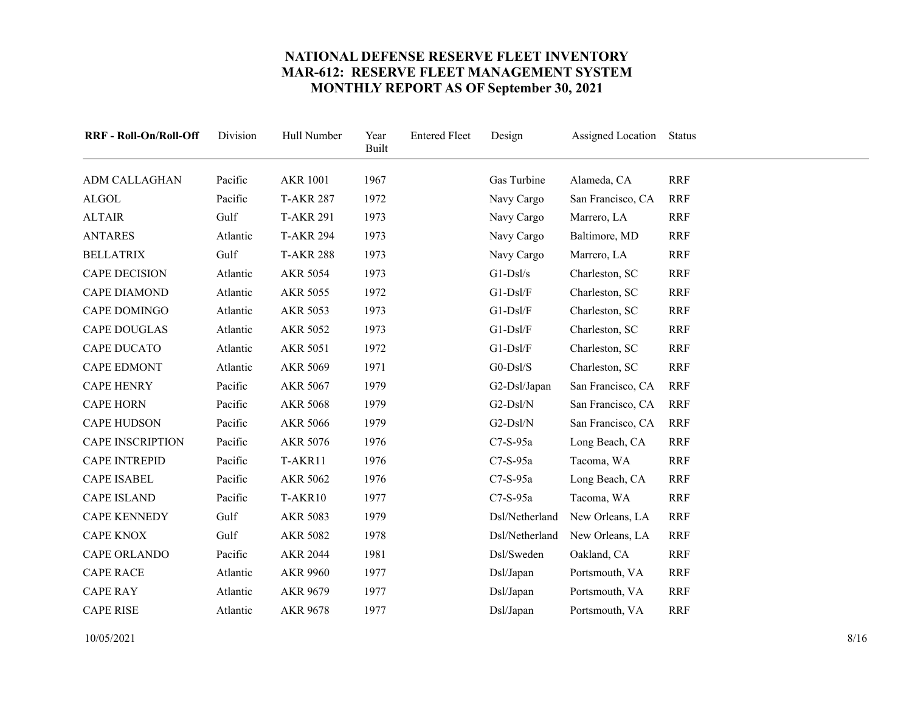<span id="page-7-23"></span><span id="page-7-22"></span><span id="page-7-21"></span><span id="page-7-20"></span><span id="page-7-19"></span><span id="page-7-18"></span><span id="page-7-17"></span><span id="page-7-16"></span><span id="page-7-15"></span><span id="page-7-14"></span><span id="page-7-13"></span><span id="page-7-12"></span><span id="page-7-11"></span><span id="page-7-10"></span><span id="page-7-9"></span><span id="page-7-8"></span><span id="page-7-7"></span><span id="page-7-6"></span><span id="page-7-5"></span><span id="page-7-4"></span><span id="page-7-3"></span><span id="page-7-2"></span><span id="page-7-1"></span><span id="page-7-0"></span>

| RRF - Roll-On/Roll-Off  | Division | Hull Number      | Year<br><b>Built</b> | <b>Entered Fleet</b> | Design         | Assigned Location | Status     |
|-------------------------|----------|------------------|----------------------|----------------------|----------------|-------------------|------------|
| <b>ADM CALLAGHAN</b>    | Pacific  | <b>AKR 1001</b>  | 1967                 |                      | Gas Turbine    | Alameda, CA       | <b>RRF</b> |
| <b>ALGOL</b>            | Pacific  | <b>T-AKR 287</b> | 1972                 |                      | Navy Cargo     | San Francisco, CA | <b>RRF</b> |
| <b>ALTAIR</b>           | Gulf     | <b>T-AKR 291</b> | 1973                 |                      | Navy Cargo     | Marrero, LA       | <b>RRF</b> |
| <b>ANTARES</b>          | Atlantic | <b>T-AKR 294</b> | 1973                 |                      | Navy Cargo     | Baltimore, MD     | <b>RRF</b> |
| <b>BELLATRIX</b>        | Gulf     | <b>T-AKR 288</b> | 1973                 |                      | Navy Cargo     | Marrero, LA       | <b>RRF</b> |
| <b>CAPE DECISION</b>    | Atlantic | <b>AKR 5054</b>  | 1973                 |                      | $G1-Ds1/s$     | Charleston, SC    | <b>RRF</b> |
| <b>CAPE DIAMOND</b>     | Atlantic | <b>AKR 5055</b>  | 1972                 |                      | $G1-Ds1/F$     | Charleston, SC    | <b>RRF</b> |
| CAPE DOMINGO            | Atlantic | <b>AKR 5053</b>  | 1973                 |                      | $G1-Ds1/F$     | Charleston, SC    | <b>RRF</b> |
| <b>CAPE DOUGLAS</b>     | Atlantic | AKR 5052         | 1973                 |                      | $G1-Ds1/F$     | Charleston, SC    | <b>RRF</b> |
| <b>CAPE DUCATO</b>      | Atlantic | <b>AKR 5051</b>  | 1972                 |                      | $G1-Ds1/F$     | Charleston, SC    | <b>RRF</b> |
| <b>CAPE EDMONT</b>      | Atlantic | <b>AKR 5069</b>  | 1971                 |                      | $G0-DsI/S$     | Charleston, SC    | <b>RRF</b> |
| <b>CAPE HENRY</b>       | Pacific  | AKR 5067         | 1979                 |                      | G2-Dsl/Japan   | San Francisco, CA | <b>RRF</b> |
| <b>CAPE HORN</b>        | Pacific  | <b>AKR 5068</b>  | 1979                 |                      | G2-Dsl/N       | San Francisco, CA | <b>RRF</b> |
| <b>CAPE HUDSON</b>      | Pacific  | <b>AKR 5066</b>  | 1979                 |                      | G2-Dsl/N       | San Francisco, CA | <b>RRF</b> |
| <b>CAPE INSCRIPTION</b> | Pacific  | AKR 5076         | 1976                 |                      | $C7-S-95a$     | Long Beach, CA    | <b>RRF</b> |
| <b>CAPE INTREPID</b>    | Pacific  | T-AKR11          | 1976                 |                      | C7-S-95a       | Tacoma, WA        | <b>RRF</b> |
| <b>CAPE ISABEL</b>      | Pacific  | AKR 5062         | 1976                 |                      | $C7-S-95a$     | Long Beach, CA    | <b>RRF</b> |
| <b>CAPE ISLAND</b>      | Pacific  | T-AKR10          | 1977                 |                      | C7-S-95a       | Tacoma, WA        | <b>RRF</b> |
| <b>CAPE KENNEDY</b>     | Gulf     | AKR 5083         | 1979                 |                      | Dsl/Netherland | New Orleans, LA   | <b>RRF</b> |
| <b>CAPE KNOX</b>        | Gulf     | <b>AKR 5082</b>  | 1978                 |                      | Dsl/Netherland | New Orleans, LA   | <b>RRF</b> |
| CAPE ORLANDO            | Pacific  | <b>AKR 2044</b>  | 1981                 |                      | Dsl/Sweden     | Oakland, CA       | <b>RRF</b> |
| <b>CAPE RACE</b>        | Atlantic | <b>AKR 9960</b>  | 1977                 |                      | Dsl/Japan      | Portsmouth, VA    | <b>RRF</b> |
| <b>CAPE RAY</b>         | Atlantic | AKR 9679         | 1977                 |                      | Dsl/Japan      | Portsmouth, VA    | <b>RRF</b> |
| <b>CAPE RISE</b>        | Atlantic | <b>AKR 9678</b>  | 1977                 |                      | Dsl/Japan      | Portsmouth, VA    | <b>RRF</b> |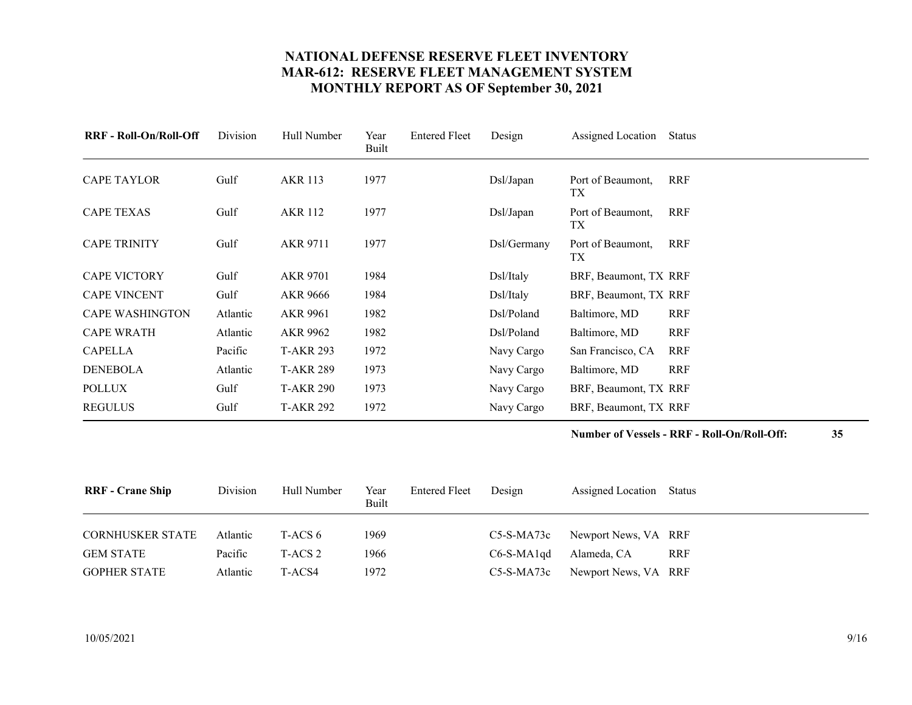<span id="page-8-4"></span><span id="page-8-3"></span><span id="page-8-2"></span><span id="page-8-1"></span><span id="page-8-0"></span>

| <b>RRF</b> - Roll-On/Roll-Off | Division | Hull Number      | Year<br>Built | <b>Entered Fleet</b> | Design      | Assigned Location        | Status     |
|-------------------------------|----------|------------------|---------------|----------------------|-------------|--------------------------|------------|
| <b>CAPE TAYLOR</b>            | Gulf     | <b>AKR 113</b>   | 1977          |                      | Dsl/Japan   | Port of Beaumont,<br>TX  | <b>RRF</b> |
| <b>CAPE TEXAS</b>             | Gulf     | <b>AKR 112</b>   | 1977          |                      | Dsl/Japan   | Port of Beaumont,<br>TX. | <b>RRF</b> |
| <b>CAPE TRINITY</b>           | Gulf     | AKR 9711         | 1977          |                      | Dsl/Germany | Port of Beaumont,<br>TХ  | <b>RRF</b> |
| <b>CAPE VICTORY</b>           | Gulf     | <b>AKR 9701</b>  | 1984          |                      | Dsl/Italy   | BRF, Beaumont, TX RRF    |            |
| <b>CAPE VINCENT</b>           | Gulf     | AKR 9666         | 1984          |                      | Dsl/Italy   | BRF, Beaumont, TX RRF    |            |
| <b>CAPE WASHINGTON</b>        | Atlantic | AKR 9961         | 1982          |                      | Dsl/Poland  | Baltimore, MD            | <b>RRF</b> |
| <b>CAPE WRATH</b>             | Atlantic | AKR 9962         | 1982          |                      | Dsl/Poland  | Baltimore, MD            | <b>RRF</b> |
| <b>CAPELLA</b>                | Pacific  | <b>T-AKR 293</b> | 1972          |                      | Navy Cargo  | San Francisco, CA        | <b>RRF</b> |
| <b>DENEBOLA</b>               | Atlantic | <b>T-AKR 289</b> | 1973          |                      | Navy Cargo  | Baltimore, MD            | <b>RRF</b> |
| <b>POLLUX</b>                 | Gulf     | <b>T-AKR 290</b> | 1973          |                      | Navy Cargo  | BRF, Beaumont, TX RRF    |            |
| <b>REGULUS</b>                | Gulf     | <b>T-AKR 292</b> | 1972          |                      | Navy Cargo  | BRF, Beaumont, TX RRF    |            |

#### **Number of Vessels - RRF - Roll-On/Roll-Off: 35**

<span id="page-8-13"></span><span id="page-8-12"></span><span id="page-8-11"></span><span id="page-8-10"></span><span id="page-8-9"></span><span id="page-8-8"></span><span id="page-8-7"></span><span id="page-8-6"></span><span id="page-8-5"></span>

| <b>RRF</b> - Crane Ship | Division | Hull Number | Year<br>Built | <b>Entered Fleet</b> | Design       | Assigned Location Status        |            |
|-------------------------|----------|-------------|---------------|----------------------|--------------|---------------------------------|------------|
| <b>CORNHUSKER STATE</b> | Atlantic | T-ACS 6     | 1969          |                      |              | C5-S-MA73c Newport News, VA RRF |            |
| <b>GEM STATE</b>        | Pacific  | T-ACS 2     | 1966          |                      | $C6-S-MA1qd$ | Alameda, CA                     | <b>RRF</b> |
| <b>GOPHER STATE</b>     | Atlantic | T-ACS4      | 1972          |                      | $C5-S-MA73c$ | Newport News, VA RRF            |            |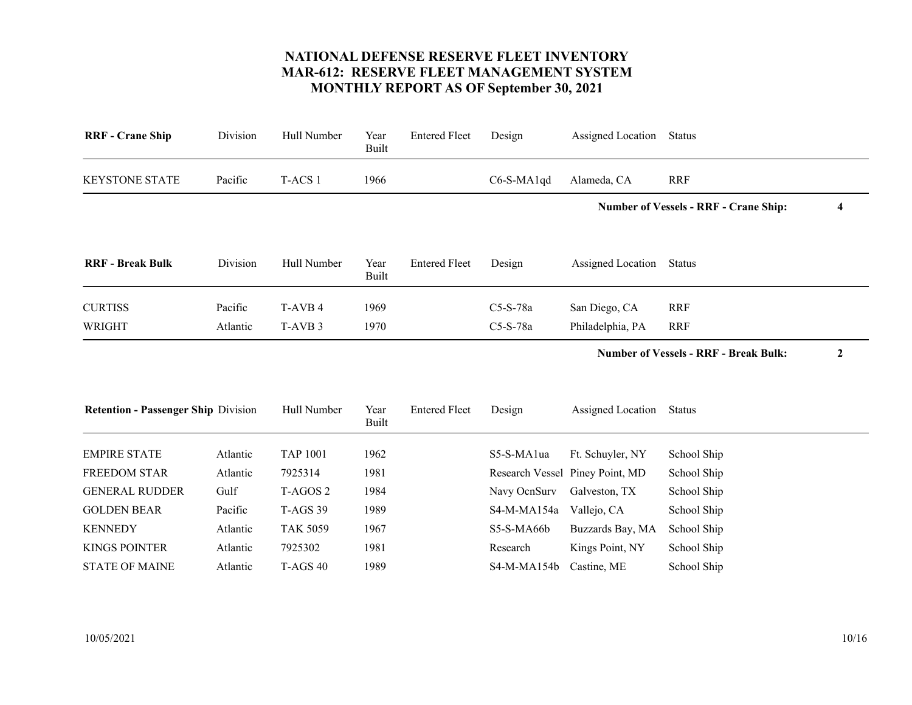<span id="page-9-9"></span><span id="page-9-8"></span><span id="page-9-7"></span><span id="page-9-6"></span><span id="page-9-5"></span><span id="page-9-4"></span><span id="page-9-3"></span><span id="page-9-2"></span><span id="page-9-1"></span><span id="page-9-0"></span>

| <b>RRF</b> - Crane Ship                    | Division | Hull Number         | Year<br><b>Built</b> | <b>Entered Fleet</b> | Design       | Assigned Location               | <b>Status</b>                                |   |
|--------------------------------------------|----------|---------------------|----------------------|----------------------|--------------|---------------------------------|----------------------------------------------|---|
| <b>KEYSTONE STATE</b>                      | Pacific  | T-ACS 1             | 1966                 |                      | C6-S-MA1qd   | Alameda, CA                     | <b>RRF</b>                                   |   |
|                                            |          |                     |                      |                      |              |                                 | <b>Number of Vessels - RRF - Crane Ship:</b> | 4 |
| <b>RRF</b> - Break Bulk                    | Division | Hull Number         | Year<br>Built        | <b>Entered Fleet</b> | Design       | Assigned Location               | Status                                       |   |
| <b>CURTISS</b>                             | Pacific  | T-AVB 4             | 1969                 |                      | C5-S-78a     | San Diego, CA                   | <b>RRF</b>                                   |   |
| WRIGHT                                     | Atlantic | T-AVB <sub>3</sub>  | 1970                 |                      | C5-S-78a     | Philadelphia, PA                | <b>RRF</b>                                   |   |
|                                            |          |                     |                      |                      |              |                                 | <b>Number of Vessels - RRF - Break Bulk:</b> | 2 |
| <b>Retention - Passenger Ship Division</b> |          | Hull Number         | Year<br>Built        | <b>Entered Fleet</b> | Design       | Assigned Location               | Status                                       |   |
| <b>EMPIRE STATE</b>                        | Atlantic | <b>TAP 1001</b>     | 1962                 |                      | S5-S-MA1ua   | Ft. Schuyler, NY                | School Ship                                  |   |
| <b>FREEDOM STAR</b>                        | Atlantic | 7925314             | 1981                 |                      |              | Research Vessel Piney Point, MD | School Ship                                  |   |
| <b>GENERAL RUDDER</b>                      | Gulf     | T-AGOS <sub>2</sub> | 1984                 |                      | Navy OcnSurv | Galveston, TX                   | School Ship                                  |   |
| <b>GOLDEN BEAR</b>                         | Pacific  | <b>T-AGS 39</b>     | 1989                 |                      | S4-M-MA154a  | Vallejo, CA                     | School Ship                                  |   |
| <b>KENNEDY</b>                             | Atlantic | <b>TAK 5059</b>     | 1967                 |                      | S5-S-MA66b   | Buzzards Bay, MA                | School Ship                                  |   |
| <b>KINGS POINTER</b>                       | Atlantic | 7925302             | 1981                 |                      | Research     | Kings Point, NY                 | School Ship                                  |   |
| <b>STATE OF MAINE</b>                      | Atlantic | <b>T-AGS 40</b>     | 1989                 |                      | S4-M-MA154b  | Castine, ME                     | School Ship                                  |   |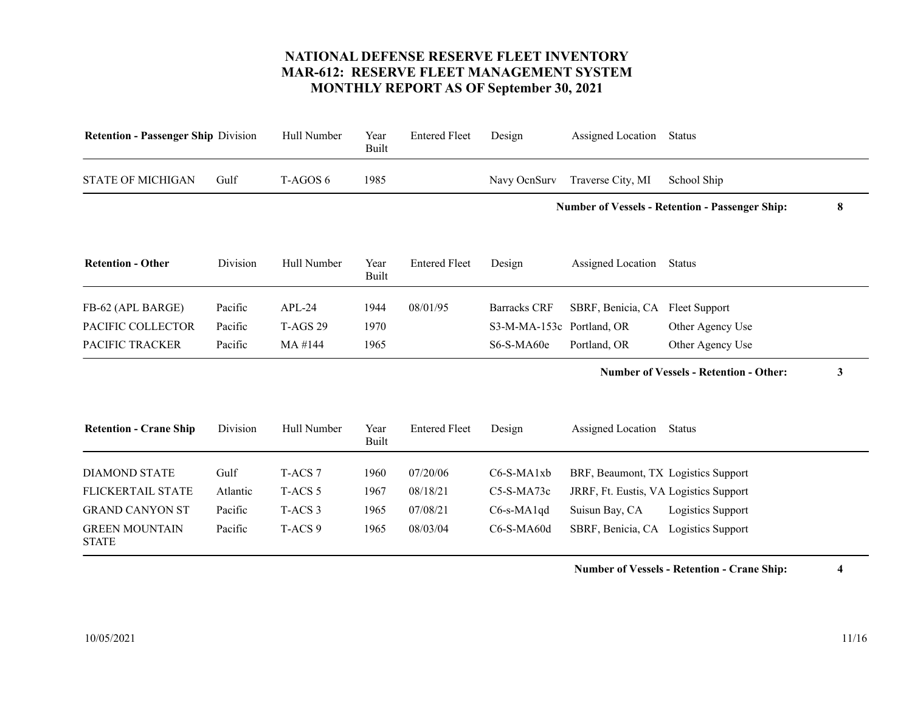<span id="page-10-7"></span><span id="page-10-6"></span><span id="page-10-5"></span><span id="page-10-4"></span><span id="page-10-3"></span><span id="page-10-2"></span><span id="page-10-1"></span><span id="page-10-0"></span>

| <b>Retention - Passenger Ship Division</b> | Hull Number        | Year<br>Built        | <b>Entered Fleet</b> | Design              | Assigned Location | <b>Status</b>             |                                                                                                                                                                                                                                                      |
|--------------------------------------------|--------------------|----------------------|----------------------|---------------------|-------------------|---------------------------|------------------------------------------------------------------------------------------------------------------------------------------------------------------------------------------------------------------------------------------------------|
| Gulf                                       | T-AGOS 6           | 1985                 |                      | Navy OcnSurv        | Traverse City, MI | School Ship               |                                                                                                                                                                                                                                                      |
|                                            |                    |                      |                      |                     |                   |                           | 8                                                                                                                                                                                                                                                    |
| Division                                   | Hull Number        | Year<br>Built        | <b>Entered Fleet</b> | Design              | Assigned Location | <b>Status</b>             |                                                                                                                                                                                                                                                      |
| Pacific                                    | $APL-24$           | 1944                 | 08/01/95             | <b>Barracks CRF</b> | SBRF, Benicia, CA | Fleet Support             |                                                                                                                                                                                                                                                      |
| Pacific                                    | <b>T-AGS 29</b>    | 1970                 |                      |                     |                   | Other Agency Use          |                                                                                                                                                                                                                                                      |
| Pacific                                    | MA #144            | 1965                 |                      | S6-S-MA60e          | Portland, OR      | Other Agency Use          |                                                                                                                                                                                                                                                      |
|                                            |                    |                      |                      |                     |                   |                           | 3                                                                                                                                                                                                                                                    |
| Division                                   | Hull Number        | Year<br><b>Built</b> | <b>Entered Fleet</b> | Design              |                   | Status                    |                                                                                                                                                                                                                                                      |
| Gulf                                       | T-ACS 7            | 1960                 | 07/20/06             | C6-S-MA1xb          |                   |                           |                                                                                                                                                                                                                                                      |
| Atlantic                                   | T-ACS <sub>5</sub> | 1967                 | 08/18/21             | $C5-S-MA73c$        |                   |                           |                                                                                                                                                                                                                                                      |
| Pacific                                    | T-ACS <sub>3</sub> | 1965                 | 07/08/21             | $C6$ -s-MA1qd       | Suisun Bay, CA    | Logistics Support         |                                                                                                                                                                                                                                                      |
| Pacific                                    | T-ACS <sub>9</sub> | 1965                 | 08/03/04             | $C6-S-MA60d$        |                   |                           |                                                                                                                                                                                                                                                      |
|                                            |                    |                      |                      |                     |                   | S3-M-MA-153c Portland, OR | <b>Number of Vessels - Retention - Passenger Ship:</b><br><b>Number of Vessels - Retention - Other:</b><br>Assigned Location<br>BRF, Beaumont, TX Logistics Support<br>JRRF, Ft. Eustis, VA Logistics Support<br>SBRF, Benicia, CA Logistics Support |

**Number of Vessels - Retention - Crane Ship: 4**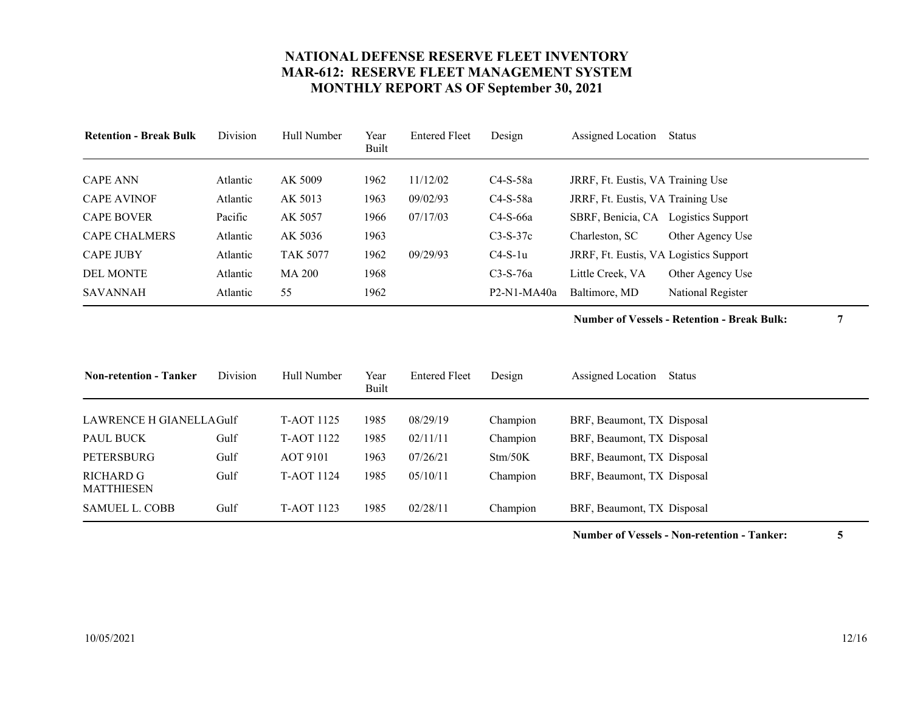<span id="page-11-3"></span><span id="page-11-2"></span><span id="page-11-1"></span><span id="page-11-0"></span>

| <b>Retention - Break Bulk</b> | Division | Hull Number     | Year<br>Built | <b>Entered Fleet</b> | Design        | Assigned Location                      | Status            |
|-------------------------------|----------|-----------------|---------------|----------------------|---------------|----------------------------------------|-------------------|
| <b>CAPE ANN</b>               | Atlantic | AK 5009         | 1962          | 11/12/02             | $C4-S-58a$    | JRRF, Ft. Eustis, VA Training Use      |                   |
| <b>CAPE AVINOF</b>            | Atlantic | AK 5013         | 1963          | 09/02/93             | $C4-S-58a$    | JRRF, Ft. Eustis, VA Training Use      |                   |
| <b>CAPE BOVER</b>             | Pacific  | AK 5057         | 1966          | 07/17/03             | $C4-S-66a$    | SBRF, Benicia, CA Logistics Support    |                   |
| <b>CAPE CHALMERS</b>          | Atlantic | AK 5036         | 1963          |                      | $C3-S-37c$    | Charleston, SC                         | Other Agency Use  |
| <b>CAPE JUBY</b>              | Atlantic | <b>TAK 5077</b> | 1962          | 09/29/93             | $C4-S-1u$     | JRRF, Ft. Eustis, VA Logistics Support |                   |
| <b>DEL MONTE</b>              | Atlantic | <b>MA 200</b>   | 1968          |                      | $C3-S-76a$    | Little Creek. VA                       | Other Agency Use  |
| SAVANNAH                      | Atlantic | 55              | 1962          |                      | $P2-N1-MA40a$ | Baltimore, MD                          | National Register |

**Number of Vessels - Retention - Break Bulk: 7**

<span id="page-11-11"></span><span id="page-11-10"></span><span id="page-11-9"></span><span id="page-11-8"></span><span id="page-11-7"></span><span id="page-11-6"></span><span id="page-11-5"></span><span id="page-11-4"></span>

| <b>Non-retention - Tanker</b> | Division | Hull Number       | Year<br>Built | <b>Entered Fleet</b> | Design   | Assigned Location<br>Status |
|-------------------------------|----------|-------------------|---------------|----------------------|----------|-----------------------------|
| LAWRENCE H GIANELLAGulf       |          | <b>T-AOT 1125</b> | 1985          | 08/29/19             | Champion | BRF, Beaumont, TX Disposal  |
| PAUL BUCK                     | Gulf     | <b>T-AOT 1122</b> | 1985          | 02/11/11             | Champion | BRF, Beaumont, TX Disposal  |
| PETERSBURG                    | Gulf     | <b>AOT 9101</b>   | 1963          | 07/26/21             | Stm/50K  | BRF, Beaumont, TX Disposal  |
| RICHARD G<br>MATTHIESEN       | Gulf     | <b>T-AOT 1124</b> | 1985          | 05/10/11             | Champion | BRF, Beaumont, TX Disposal  |
| <b>SAMUEL L. COBB</b>         | Gulf     | <b>T-AOT 1123</b> | 1985          | 02/28/11             | Champion | BRF, Beaumont, TX Disposal  |

**Number of Vessels - Non-retention - Tanker: 5**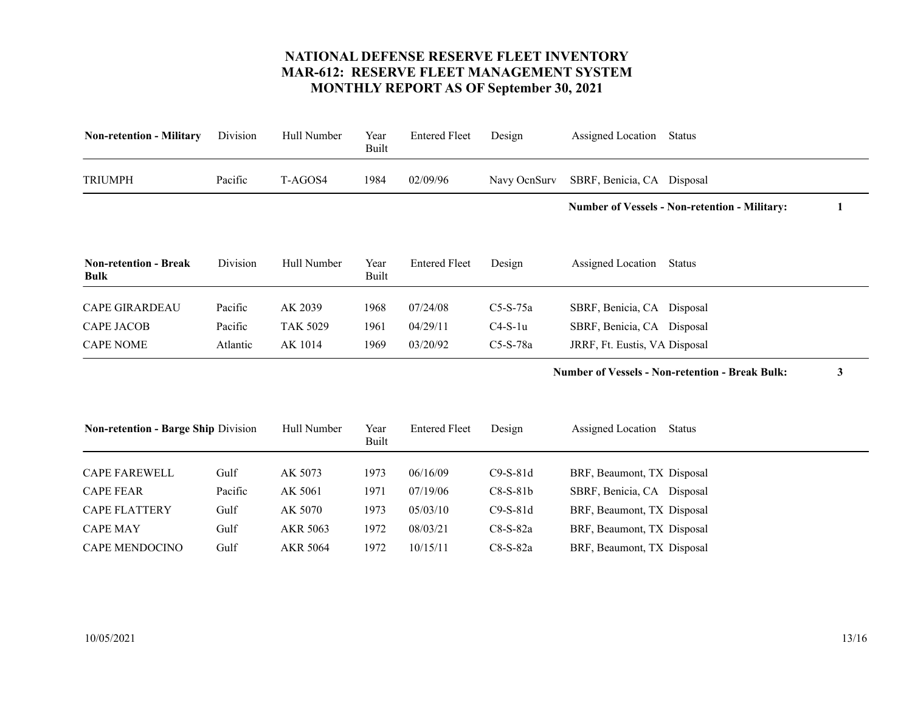<span id="page-12-8"></span><span id="page-12-7"></span><span id="page-12-6"></span><span id="page-12-5"></span><span id="page-12-4"></span><span id="page-12-3"></span><span id="page-12-2"></span><span id="page-12-1"></span><span id="page-12-0"></span>

| <b>Non-retention - Military</b>             | Division | Hull Number     | Year<br>Built        | <b>Entered Fleet</b> | Design       | Assigned Location             | <b>Status</b>                                          |   |
|---------------------------------------------|----------|-----------------|----------------------|----------------------|--------------|-------------------------------|--------------------------------------------------------|---|
| <b>TRIUMPH</b>                              | Pacific  | T-AGOS4         | 1984                 | 02/09/96             | Navy OcnSurv | SBRF, Benicia, CA Disposal    |                                                        |   |
|                                             |          |                 |                      |                      |              |                               | <b>Number of Vessels - Non-retention - Military:</b>   | 1 |
| <b>Non-retention - Break</b><br><b>Bulk</b> | Division | Hull Number     | Year<br><b>Built</b> | <b>Entered Fleet</b> | Design       | Assigned Location             | Status                                                 |   |
| <b>CAPE GIRARDEAU</b>                       | Pacific  | AK 2039         | 1968                 | 07/24/08             | $C5-S-75a$   | SBRF, Benicia, CA Disposal    |                                                        |   |
| <b>CAPE JACOB</b>                           | Pacific  | <b>TAK 5029</b> | 1961                 | 04/29/11             | $C4-S-1u$    | SBRF, Benicia, CA Disposal    |                                                        |   |
| <b>CAPE NOME</b>                            | Atlantic | AK 1014         | 1969                 | 03/20/92             | $C5-S-78a$   | JRRF, Ft. Eustis, VA Disposal |                                                        |   |
|                                             |          |                 |                      |                      |              |                               | <b>Number of Vessels - Non-retention - Break Bulk:</b> | 3 |
| <b>Non-retention - Barge Ship Division</b>  |          | Hull Number     | Year<br>Built        | <b>Entered Fleet</b> | Design       | Assigned Location             | Status                                                 |   |
| <b>CAPE FAREWELL</b>                        | Gulf     | AK 5073         | 1973                 | 06/16/09             | $C9-S-81d$   | BRF, Beaumont, TX Disposal    |                                                        |   |
| <b>CAPE FEAR</b>                            | Pacific  | AK 5061         | 1971                 | 07/19/06             | $C8-S-81b$   | SBRF, Benicia, CA Disposal    |                                                        |   |
| <b>CAPE FLATTERY</b>                        | Gulf     | AK 5070         | 1973                 | 05/03/10             | $C9-S-81d$   | BRF, Beaumont, TX Disposal    |                                                        |   |
| <b>CAPE MAY</b>                             | Gulf     | AKR 5063        | 1972                 | 08/03/21             | $C8-S-82a$   | BRF, Beaumont, TX Disposal    |                                                        |   |
| CAPE MENDOCINO                              | Gulf     | <b>AKR 5064</b> | 1972                 | 10/15/11             | C8-S-82a     | BRF, Beaumont, TX Disposal    |                                                        |   |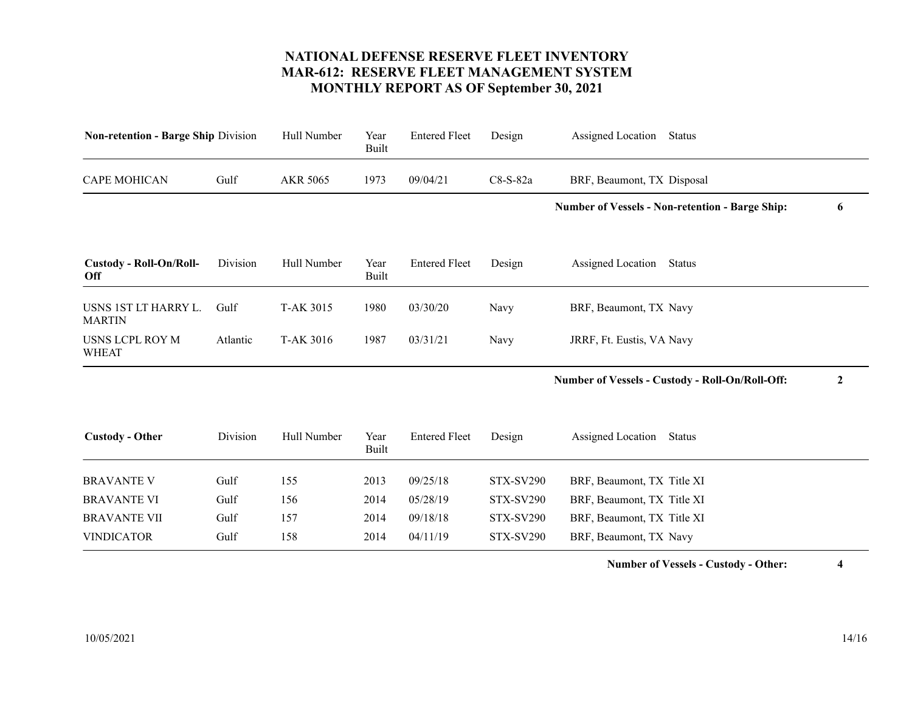<span id="page-13-6"></span><span id="page-13-5"></span><span id="page-13-4"></span><span id="page-13-3"></span><span id="page-13-2"></span><span id="page-13-1"></span><span id="page-13-0"></span>

| <b>Non-retention - Barge Ship Division</b> |          | Hull Number      | Year<br><b>Built</b> | <b>Entered Fleet</b> | Design           | Assigned Location<br><b>Status</b>                     |                  |
|--------------------------------------------|----------|------------------|----------------------|----------------------|------------------|--------------------------------------------------------|------------------|
| <b>CAPE MOHICAN</b>                        | Gulf     | AKR 5065         | 1973                 | 09/04/21             | C8-S-82a         | BRF, Beaumont, TX Disposal                             |                  |
|                                            |          |                  |                      |                      |                  | <b>Number of Vessels - Non-retention - Barge Ship:</b> | 6                |
| <b>Custody - Roll-On/Roll-</b><br>Off      | Division | Hull Number      | Year<br>Built        | <b>Entered Fleet</b> | Design           | Assigned Location<br>Status                            |                  |
| USNS 1ST LT HARRY L.<br><b>MARTIN</b>      | Gulf     | <b>T-AK 3015</b> | 1980                 | 03/30/20             | Navy             | BRF, Beaumont, TX Navy                                 |                  |
| <b>USNS LCPL ROY M</b><br><b>WHEAT</b>     | Atlantic | T-AK 3016        | 1987                 | 03/31/21             | Navy             | JRRF, Ft. Eustis, VA Navy                              |                  |
|                                            |          |                  |                      |                      |                  | Number of Vessels - Custody - Roll-On/Roll-Off:        | $\boldsymbol{2}$ |
| <b>Custody - Other</b>                     | Division | Hull Number      | Year<br>Built        | <b>Entered Fleet</b> | Design           | Assigned Location<br><b>Status</b>                     |                  |
| <b>BRAVANTE V</b>                          | Gulf     | 155              | 2013                 | 09/25/18             | <b>STX-SV290</b> | BRF, Beaumont, TX Title XI                             |                  |
| <b>BRAVANTE VI</b>                         | Gulf     | 156              | 2014                 | 05/28/19             | <b>STX-SV290</b> | BRF, Beaumont, TX Title XI                             |                  |
| <b>BRAVANTE VII</b>                        | Gulf     | 157              | 2014                 | 09/18/18             | <b>STX-SV290</b> | BRF, Beaumont, TX Title XI                             |                  |
| <b>VINDICATOR</b>                          | Gulf     | 158              | 2014                 | 04/11/19             | <b>STX-SV290</b> | BRF, Beaumont, TX Navy                                 |                  |

**Number of Vessels - Custody - Other: 4**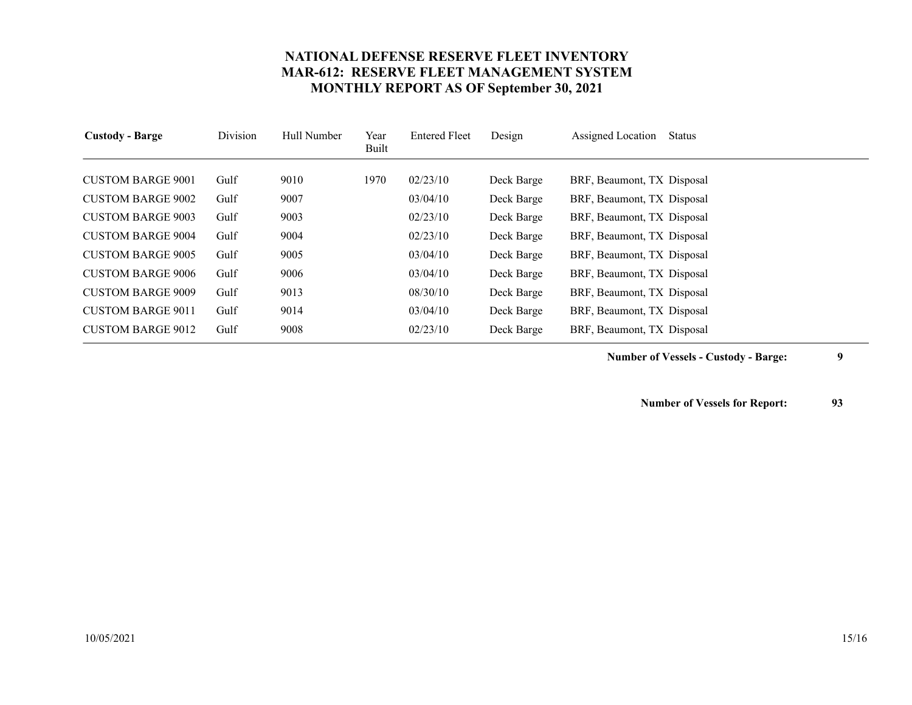<span id="page-14-8"></span><span id="page-14-7"></span><span id="page-14-6"></span><span id="page-14-5"></span><span id="page-14-4"></span><span id="page-14-3"></span><span id="page-14-2"></span><span id="page-14-1"></span><span id="page-14-0"></span>

| <b>Custody - Barge</b>   | Division | Hull Number | Year<br>Built | <b>Entered Fleet</b> | Design     | Assigned Location<br>Status |
|--------------------------|----------|-------------|---------------|----------------------|------------|-----------------------------|
|                          |          |             |               |                      |            |                             |
| <b>CUSTOM BARGE 9001</b> | Gulf     | 9010        | 1970          | 02/23/10             | Deck Barge | BRF, Beaumont, TX Disposal  |
| <b>CUSTOM BARGE 9002</b> | Gulf     | 9007        |               | 03/04/10             | Deck Barge | BRF, Beaumont, TX Disposal  |
| <b>CUSTOM BARGE 9003</b> | Gulf     | 9003        |               | 02/23/10             | Deck Barge | BRF, Beaumont, TX Disposal  |
| <b>CUSTOM BARGE 9004</b> | Gulf     | 9004        |               | 02/23/10             | Deck Barge | BRF, Beaumont, TX Disposal  |
| <b>CUSTOM BARGE 9005</b> | Gulf     | 9005        |               | 03/04/10             | Deck Barge | BRF, Beaumont, TX Disposal  |
| <b>CUSTOM BARGE 9006</b> | Gulf     | 9006        |               | 03/04/10             | Deck Barge | BRF, Beaumont, TX Disposal  |
| <b>CUSTOM BARGE 9009</b> | Gulf     | 9013        |               | 08/30/10             | Deck Barge | BRF, Beaumont, TX Disposal  |
| <b>CUSTOM BARGE 9011</b> | Gulf     | 9014        |               | 03/04/10             | Deck Barge | BRF, Beaumont, TX Disposal  |
| <b>CUSTOM BARGE 9012</b> | Gulf     | 9008        |               | 02/23/10             | Deck Barge | BRF, Beaumont, TX Disposal  |

**Number of Vessels - Custody - Barge: 9**

**Number of Vessels for Report: 93**